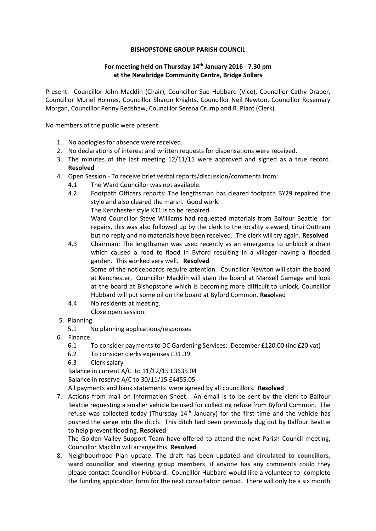## **BISHOPSTONE GROUP PARISH COUNCIL**

## **For meeting held on Thursday 14th January 2016 - 7.30 pm at the Newbridge Community Centre, Bridge Sollars**

Present: Councillor John Macklin (Chair), Councillor Sue Hubbard (Vice), Councillor Cathy Draper, Councillor Muriel Holmes, Councillor Sharon Knights, Councillor Neil Newton, Councillor Rosemary Morgan, Councillor Penny Redshaw, Councillor Serena Crump and R. Plant (Clerk).

No members of the public were present.

- 1. No apologies for absence were received.
- 2. No declarations of interest and written requests for dispensations were received.
- 3. The minutes of the last meeting 12/11/15 were approved and signed as a true record. **Resolved**
- 4. Open Session To receive brief verbal reports/discussion/comments from:
	- 4.1 The Ward Councillor was not available.
	- 4.2 Footpath Officers reports: The lengthsman has cleared footpath BY29 repaired the style and also cleared the marsh. Good work.
		- The Kenchester style KT1 is to be repaired.

Ward Councillor Steve Williams had requested materials from Balfour Beattie for repairs, this was also followed up by the clerk to the locality steward, Linzi Outtram but no reply and no materials have been received. The clerk will try again. **Resolved**

- 4.3 Chairman: The lengthsman was used recently as an emergency to unblock a drain which caused a road to flood in Byford resulting in a villager having a flooded garden. This worked very well. **Resolved** Some of the noticeboards require attention. Councillor Newton will stain the board at Kenchester, Councillor Macklin will stain the board at Mansell Gamage and look at the board at Bishopstone which is becoming more difficult to unlock, Councillor Hubbard will put some oil on the board at Byford Common. **Reso**lved
- 4.4 No residents at meeting.

Close open session.

- 5. Planning
	- 5.1 No planning applications/responses
- 6. Finance:
	- 6.1 To consider payments to DC Gardening Services: December £120.00 (inc £20 vat)
	- 6.2 To consider clerks expenses £31.39
	- 6.3 Clerk salary

Balance in current A/C to 11/12/15 £3635.04

Balance in reserve A/C to 30/11/15 £4455.05

All payments and bank statements were agreed by all councillors. **Resolved**

7. Actions from mail on Information Sheet: An email is to be sent by the clerk to Balfour Beattie requesting a smaller vehicle be used for collecting refuse from Byford Common. The refuse was collected today (Thursday  $14<sup>th</sup>$  January) for the first time and the vehicle has pushed the verge into the ditch. This ditch had been previously dug out by Balfour Beattie to help prevent flooding. **Resolved**

The Golden Valley Support Team have offered to attend the next Parish Council meeting, Councillor Macklin will arrange this. **Resolved**

8. Neighbourhood Plan update: The draft has been updated **and circulated to councillors, ward councillor and steering group members**, if anyone has any comments could they please contact Councillor Hubbard. Councillor Hubbard would like a volunteer to complete the funding application form for the next consultation period. There will only be a six month